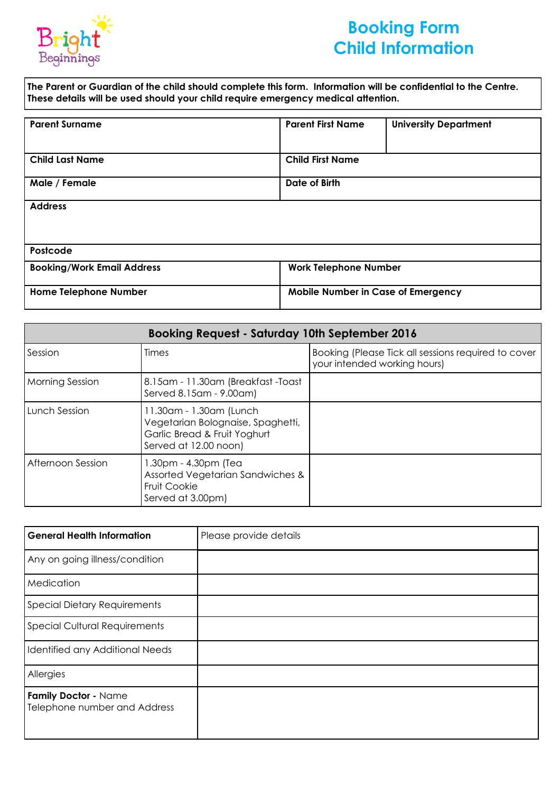

# **Booking Form Child Information**

**The Parent or Guardian of the child should complete this form. Information will be confidential to the Centre. These details will be used should your child require emergency medical attention.**

| <b>Parent Surname</b>             | <b>Parent First Name</b>           |                              |
|-----------------------------------|------------------------------------|------------------------------|
|                                   |                                    | <b>University Department</b> |
|                                   |                                    |                              |
|                                   |                                    |                              |
| <b>Child Last Name</b>            | <b>Child First Name</b>            |                              |
|                                   |                                    |                              |
| Male / Female                     | Date of Birth                      |                              |
|                                   |                                    |                              |
| <b>Address</b>                    |                                    |                              |
|                                   |                                    |                              |
|                                   |                                    |                              |
|                                   |                                    |                              |
| Postcode                          |                                    |                              |
| <b>Booking/Work Email Address</b> | <b>Work Telephone Number</b>       |                              |
|                                   |                                    |                              |
| <b>Home Telephone Number</b>      | Mobile Number in Case of Emergency |                              |
|                                   |                                    |                              |

| <b>Booking Request - Saturday 10th September 2016</b> |                                                                                                                       |                                                                                     |
|-------------------------------------------------------|-----------------------------------------------------------------------------------------------------------------------|-------------------------------------------------------------------------------------|
| Session                                               | Times                                                                                                                 | Booking (Please Tick all sessions required to cover<br>your intended working hours) |
| <b>Morning Session</b>                                | 8.15am - 11.30am (Breakfast -Toast<br>Served 8.15am - 9.00am)                                                         |                                                                                     |
| Lunch Session                                         | 11.30am - 1.30am (Lunch<br>Vegetarian Bolognaise, Spaghetti,<br>Garlic Bread & Fruit Yoghurt<br>Served at 12.00 noon) |                                                                                     |
| Afternoon Session                                     | 1.30pm - 4.30pm (Tea<br>Assorted Vegetarian Sandwiches &<br><b>Fruit Cookie</b><br>Served at 3.00pm)                  |                                                                                     |

| <b>General Health Information</b>                    | Please provide details |
|------------------------------------------------------|------------------------|
| Any on going illness/condition                       |                        |
| Medication                                           |                        |
| <b>Special Dietary Requirements</b>                  |                        |
| <b>Special Cultural Requirements</b>                 |                        |
| Identified any Additional Needs                      |                        |
| Allergies                                            |                        |
| Family Doctor - Name<br>Telephone number and Address |                        |